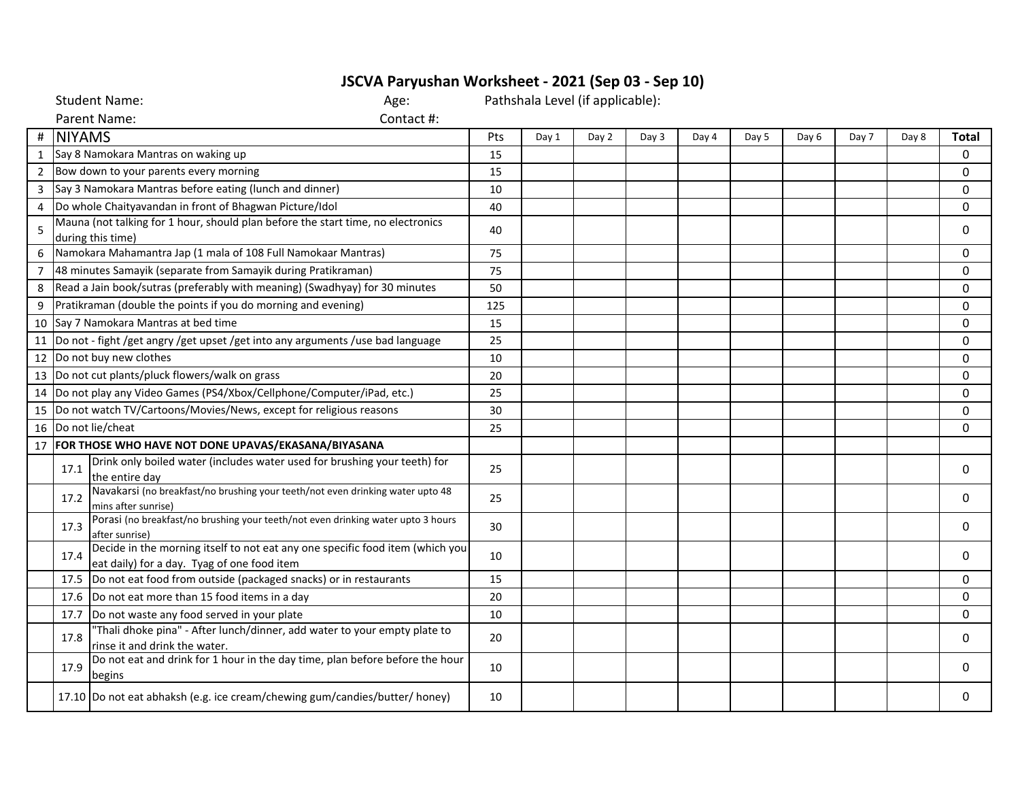## **JSCVA Paryushan Worksheet - 2021 (Sep 03 - Sep 10)**

|                | <b>Student Name:</b><br>Age:                                                                          |                                                                                                                              | Pathshala Level (if applicable): |       |       |       |       |       |       |       |       |              |
|----------------|-------------------------------------------------------------------------------------------------------|------------------------------------------------------------------------------------------------------------------------------|----------------------------------|-------|-------|-------|-------|-------|-------|-------|-------|--------------|
|                | Parent Name:<br>Contact #:                                                                            |                                                                                                                              |                                  |       |       |       |       |       |       |       |       |              |
| #              | <b>NIYAMS</b>                                                                                         |                                                                                                                              | Pts                              | Day 1 | Day 2 | Day 3 | Day 4 | Day 5 | Day 6 | Day 7 | Day 8 | Total        |
| $\mathbf{1}$   |                                                                                                       | Say 8 Namokara Mantras on waking up                                                                                          |                                  |       |       |       |       |       |       |       |       | $\Omega$     |
| 2              | Bow down to your parents every morning                                                                |                                                                                                                              | 15                               |       |       |       |       |       |       |       |       | 0            |
| 3              | Say 3 Namokara Mantras before eating (lunch and dinner)                                               |                                                                                                                              | 10                               |       |       |       |       |       |       |       |       | $\Omega$     |
| 4              | Do whole Chaityavandan in front of Bhagwan Picture/Idol                                               |                                                                                                                              | 40                               |       |       |       |       |       |       |       |       | 0            |
| -5             | Mauna (not talking for 1 hour, should plan before the start time, no electronics<br>during this time) |                                                                                                                              | 40                               |       |       |       |       |       |       |       |       | 0            |
| 6              | Namokara Mahamantra Jap (1 mala of 108 Full Namokaar Mantras)                                         |                                                                                                                              | 75                               |       |       |       |       |       |       |       |       | $\Omega$     |
| $\overline{7}$ | 48 minutes Samayik (separate from Samayik during Pratikraman)                                         |                                                                                                                              | 75                               |       |       |       |       |       |       |       |       | $\mathbf 0$  |
| 8              | Read a Jain book/sutras (preferably with meaning) (Swadhyay) for 30 minutes                           |                                                                                                                              | 50                               |       |       |       |       |       |       |       |       | $\Omega$     |
| 9              | Pratikraman (double the points if you do morning and evening)                                         |                                                                                                                              | 125                              |       |       |       |       |       |       |       |       | $\mathbf{0}$ |
| 10             | Say 7 Namokara Mantras at bed time                                                                    |                                                                                                                              | 15                               |       |       |       |       |       |       |       |       | 0            |
| 11             | Do not - fight /get angry /get upset /get into any arguments /use bad language                        |                                                                                                                              | 25                               |       |       |       |       |       |       |       |       | $\Omega$     |
|                | 12 Do not buy new clothes                                                                             |                                                                                                                              | 10                               |       |       |       |       |       |       |       |       | 0            |
|                | 13 Do not cut plants/pluck flowers/walk on grass                                                      |                                                                                                                              | 20                               |       |       |       |       |       |       |       |       | 0            |
|                | 14 Do not play any Video Games (PS4/Xbox/Cellphone/Computer/iPad, etc.)                               |                                                                                                                              | 25                               |       |       |       |       |       |       |       |       | 0            |
|                | 15 Do not watch TV/Cartoons/Movies/News, except for religious reasons                                 |                                                                                                                              | 30                               |       |       |       |       |       |       |       |       | 0            |
|                | 16 Do not lie/cheat                                                                                   |                                                                                                                              | 25                               |       |       |       |       |       |       |       |       | $\Omega$     |
|                | 17 FOR THOSE WHO HAVE NOT DONE UPAVAS/EKASANA/BIYASANA                                                |                                                                                                                              |                                  |       |       |       |       |       |       |       |       |              |
|                | 17.1                                                                                                  | Drink only boiled water (includes water used for brushing your teeth) for<br>the entire day                                  | 25                               |       |       |       |       |       |       |       |       | 0            |
|                | 17.2                                                                                                  | Navakarsi (no breakfast/no brushing your teeth/not even drinking water upto 48<br>mins after sunrise)                        | 25                               |       |       |       |       |       |       |       |       | $\Omega$     |
|                | 17.3                                                                                                  | Porasi (no breakfast/no brushing your teeth/not even drinking water upto 3 hours<br>after sunrise)                           | 30                               |       |       |       |       |       |       |       |       | $\mathbf{0}$ |
|                | 17.4                                                                                                  | Decide in the morning itself to not eat any one specific food item (which you<br>eat daily) for a day. Tyag of one food item | 10                               |       |       |       |       |       |       |       |       | $\Omega$     |
|                | 17.5                                                                                                  | Do not eat food from outside (packaged snacks) or in restaurants                                                             | 15                               |       |       |       |       |       |       |       |       | 0            |
|                | 17.6                                                                                                  | Do not eat more than 15 food items in a day                                                                                  | 20                               |       |       |       |       |       |       |       |       | $\Omega$     |
|                | 17.7                                                                                                  | Do not waste any food served in your plate                                                                                   | 10                               |       |       |       |       |       |       |       |       | 0            |
|                | 17.8                                                                                                  | "Thali dhoke pina" - After lunch/dinner, add water to your empty plate to<br>rinse it and drink the water.                   | 20                               |       |       |       |       |       |       |       |       | 0            |
|                | 17.9                                                                                                  | Do not eat and drink for 1 hour in the day time, plan before before the hour<br>begins                                       | 10                               |       |       |       |       |       |       |       |       | 0            |
|                |                                                                                                       | 17.10 Do not eat abhaksh (e.g. ice cream/chewing gum/candies/butter/ honey)                                                  | 10                               |       |       |       |       |       |       |       |       | 0            |